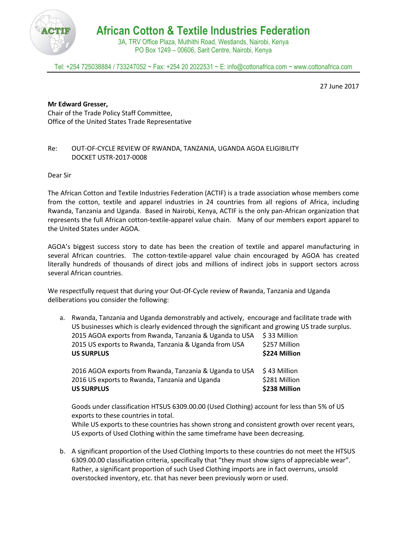

**African Cotton & Textile Industries Federation**

3A, TRV Office Plaza, Muthithi Road, Westlands, Nairobi, Kenya PO Box 1249 – 00606, Sarit Centre, Nairobi, Kenya

Tel: +254 725038884 / 733247052 ~ Fax: +254 20 2022531 ~ E: info@cottonafrica.com ~ www.cottonafrica.com

27 June 2017

## **Mr Edward Gresser,**

Chair of the Trade Policy Staff Committee, Office of the United States Trade Representative

## Re: OUT-OF-CYCLE REVIEW OF RWANDA, TANZANIA, UGANDA AGOA ELIGIBILITY DOCKET USTR-2017-0008

Dear Sir

The African Cotton and Textile Industries Federation (ACTIF) is a trade association whose members come from the cotton, textile and apparel industries in 24 countries from all regions of Africa, including Rwanda, Tanzania and Uganda. Based in Nairobi, Kenya, ACTIF is the only pan-African organization that represents the full African cotton-textile-apparel value chain. Many of our members export apparel to the United States under AGOA.

AGOA's biggest success story to date has been the creation of textile and apparel manufacturing in several African countries. The cotton-textile-apparel value chain encouraged by AGOA has created literally hundreds of thousands of direct jobs and millions of indirect jobs in support sectors across several African countries.

We respectfully request that during your Out-Of-Cycle review of Rwanda, Tanzania and Uganda deliberations you consider the following:

a. Rwanda, Tanzania and Uganda demonstrably and actively, encourage and facilitate trade with US businesses which is clearly evidenced through the significant and growing US trade surplus. 2015 AGOA exports from Rwanda, Tanzania & Uganda to USA \$ 33 Million

| 2015 US exports to Rwanda, Tanzania & Uganda from USA<br><b>US SURPLUS</b> | \$257 Million<br>\$224 Million |
|----------------------------------------------------------------------------|--------------------------------|
|                                                                            |                                |
| 2016 US exports to Rwanda, Tanzania and Uganda                             | \$281 Million                  |
| <b>US SURPLUS</b>                                                          | \$238 Million                  |

Goods under classification HTSUS 6309.00.00 (Used Clothing) account for less than 5% of US exports to these countries in total.

While US exports to these countries has shown strong and consistent growth over recent years, US exports of Used Clothing within the same timeframe have been decreasing.

b. A significant proportion of the Used Clothing Imports to these countries do not meet the HTSUS 6309.00.00 classification criteria, specifically that "they must show signs of appreciable wear". Rather, a significant proportion of such Used Clothing imports are in fact overruns, unsold overstocked inventory, etc. that has never been previously worn or used.